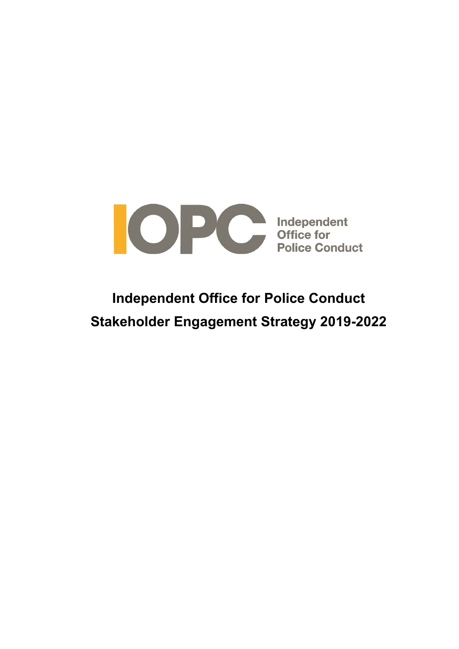

# **Independent Office for Police Conduct Stakeholder Engagement Strategy 2019-2022**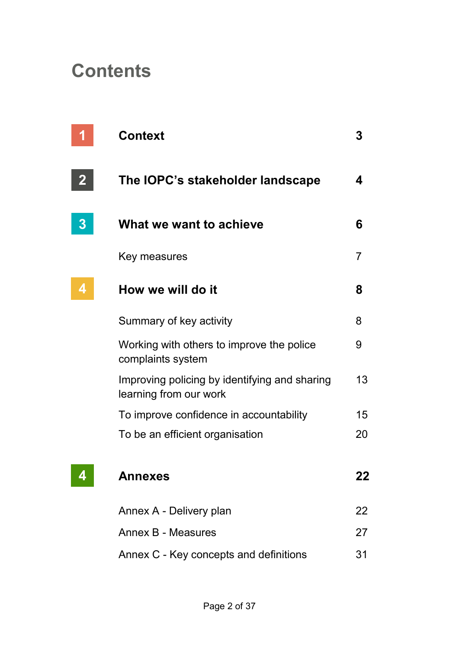# **Contents**

|   | <b>Context</b>                                                          | 3  |
|---|-------------------------------------------------------------------------|----|
|   | The IOPC's stakeholder landscape                                        | 4  |
| 3 | What we want to achieve                                                 | 6  |
|   | Key measures                                                            | 7  |
|   | How we will do it                                                       | 8  |
|   | Summary of key activity                                                 | 8  |
|   | Working with others to improve the police<br>complaints system          | 9  |
|   | Improving policing by identifying and sharing<br>learning from our work | 13 |
|   | To improve confidence in accountability                                 | 15 |
|   | To be an efficient organisation                                         | 20 |
|   | Annexes                                                                 | 22 |
|   | Annex A - Delivery plan                                                 | 22 |
|   | Annex B - Measures                                                      | 27 |
|   | Annex C - Key concepts and definitions                                  | 31 |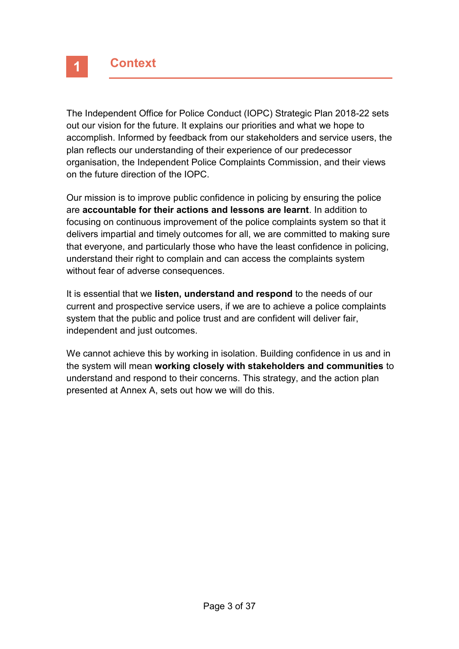The Independent Office for Police Conduct (IOPC) Strategic Plan 2018-22 sets out our vision for the future. It explains our priorities and what we hope to accomplish. Informed by feedback from our stakeholders and service users, the plan reflects our understanding of their experience of our predecessor organisation, the Independent Police Complaints Commission, and their views on the future direction of the IOPC.

Our mission is to improve public confidence in policing by ensuring the police are **accountable for their actions and lessons are learnt**. In addition to focusing on continuous improvement of the police complaints system so that it delivers impartial and timely outcomes for all, we are committed to making sure that everyone, and particularly those who have the least confidence in policing, understand their right to complain and can access the complaints system without fear of adverse consequences.

It is essential that we **listen, understand and respond** to the needs of our current and prospective service users, if we are to achieve a police complaints system that the public and police trust and are confident will deliver fair, independent and just outcomes.

We cannot achieve this by working in isolation. Building confidence in us and in the system will mean **working closely with stakeholders and communities** to understand and respond to their concerns. This strategy, and the action plan presented at Annex A, sets out how we will do this.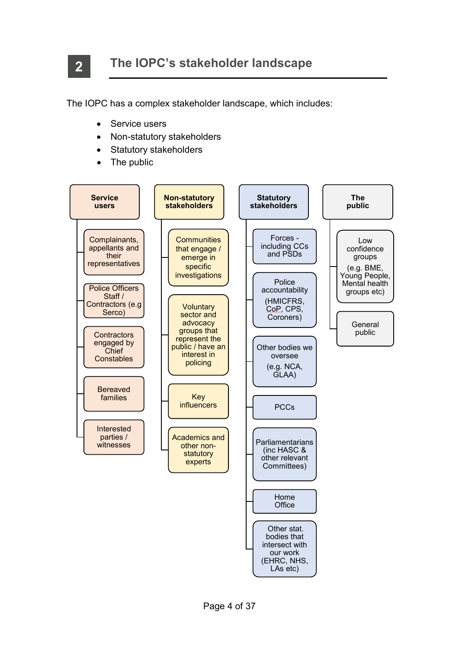**2**

The IOPC has a complex stakeholder landscape, which includes:

- Service users
- Non-statutory stakeholders
- Statutory stakeholders
- The public

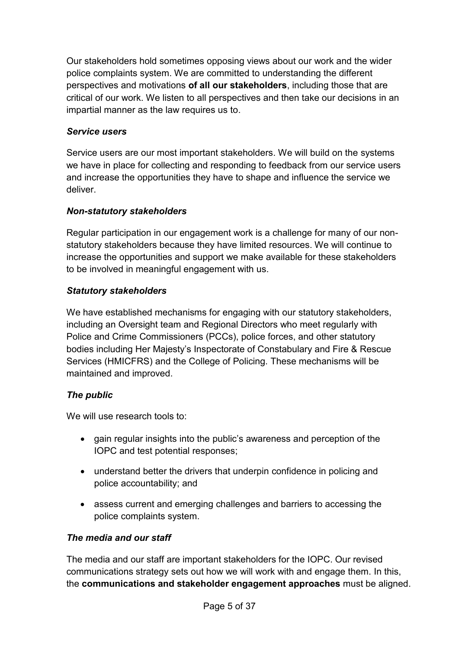Our stakeholders hold sometimes opposing views about our work and the wider police complaints system. We are committed to understanding the different perspectives and motivations **of all our stakeholders**, including those that are critical of our work. We listen to all perspectives and then take our decisions in an impartial manner as the law requires us to.

# *Service users*

Service users are our most important stakeholders. We will build on the systems we have in place for collecting and responding to feedback from our service users and increase the opportunities they have to shape and influence the service we deliver.

# *Non-statutory stakeholders*

Regular participation in our engagement work is a challenge for many of our nonstatutory stakeholders because they have limited resources. We will continue to increase the opportunities and support we make available for these stakeholders to be involved in meaningful engagement with us.

# *Statutory stakeholders*

We have established mechanisms for engaging with our statutory stakeholders, including an Oversight team and Regional Directors who meet regularly with Police and Crime Commissioners (PCCs), police forces, and other statutory bodies including Her Majesty's Inspectorate of Constabulary and Fire & Rescue Services (HMICFRS) and the College of Policing. These mechanisms will be maintained and improved.

# *The public*

We will use research tools to:

- gain regular insights into the public's awareness and perception of the IOPC and test potential responses;
- understand better the drivers that underpin confidence in policing and police accountability; and
- assess current and emerging challenges and barriers to accessing the police complaints system.

# *The media and our staff*

The media and our staff are important stakeholders for the IOPC. Our revised communications strategy sets out how we will work with and engage them. In this, the **communications and stakeholder engagement approaches** must be aligned.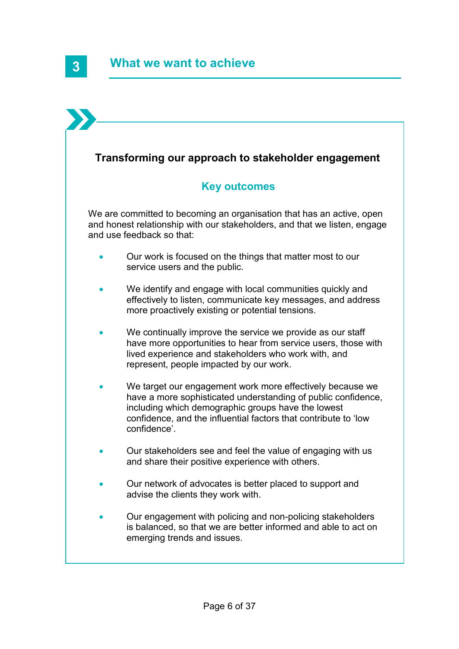# **Transforming our approach to stakeholder engagement**

# **Key outcomes**

We are committed to becoming an organisation that has an active, open and honest relationship with our stakeholders, and that we listen, engage and use feedback so that:

- Our work is focused on the things that matter most to our service users and the public.
- We identify and engage with local communities quickly and effectively to listen, communicate key messages, and address more proactively existing or potential tensions.
- We continually improve the service we provide as our staff have more opportunities to hear from service users, those with lived experience and stakeholders who work with, and represent, people impacted by our work.
- We target our engagement work more effectively because we have a more sophisticated understanding of public confidence, including which demographic groups have the lowest confidence, and the influential factors that contribute to 'low confidence'.
- Our stakeholders see and feel the value of engaging with us and share their positive experience with others.
- Our network of advocates is better placed to support and advise the clients they work with.
- Our engagement with policing and non-policing stakeholders is balanced, so that we are better informed and able to act on emerging trends and issues.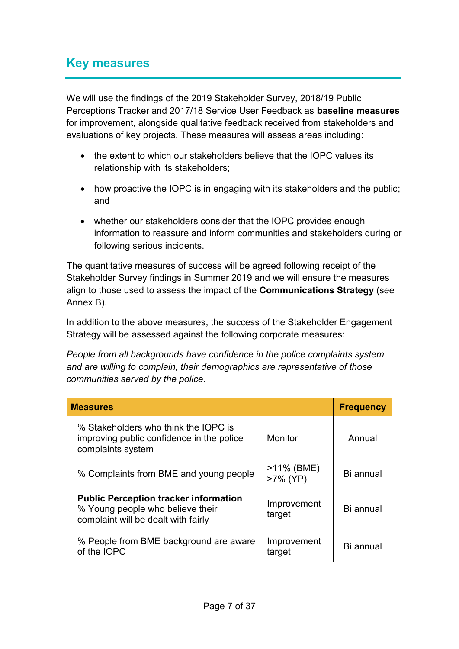# **Key measures**

We will use the findings of the 2019 Stakeholder Survey, 2018/19 Public Perceptions Tracker and 2017/18 Service User Feedback as **baseline measures** for improvement, alongside qualitative feedback received from stakeholders and evaluations of key projects. These measures will assess areas including:

- the extent to which our stakeholders believe that the IOPC values its relationship with its stakeholders;
- how proactive the IOPC is in engaging with its stakeholders and the public; and
- whether our stakeholders consider that the IOPC provides enough information to reassure and inform communities and stakeholders during or following serious incidents.

The quantitative measures of success will be agreed following receipt of the Stakeholder Survey findings in Summer 2019 and we will ensure the measures align to those used to assess the impact of the **Communications Strategy** (see Annex B).

In addition to the above measures, the success of the Stakeholder Engagement Strategy will be assessed against the following corporate measures:

*People from all backgrounds have confidence in the police complaints system and are willing to complain, their demographics are representative of those communities served by the police.*

| <b>Measures</b>                                                                                                         |                           | <b>Frequency</b> |
|-------------------------------------------------------------------------------------------------------------------------|---------------------------|------------------|
| % Stakeholders who think the IOPC is<br>improving public confidence in the police<br>complaints system                  | <b>Monitor</b>            | Annual           |
| % Complaints from BME and young people                                                                                  | $>11\%$ (BME)<br>>7% (YP) | Bi annual        |
| <b>Public Perception tracker information</b><br>% Young people who believe their<br>complaint will be dealt with fairly | Improvement<br>target     | Bi annual        |
| % People from BME background are aware<br>of the IOPC                                                                   | Improvement<br>target     | Bi annual        |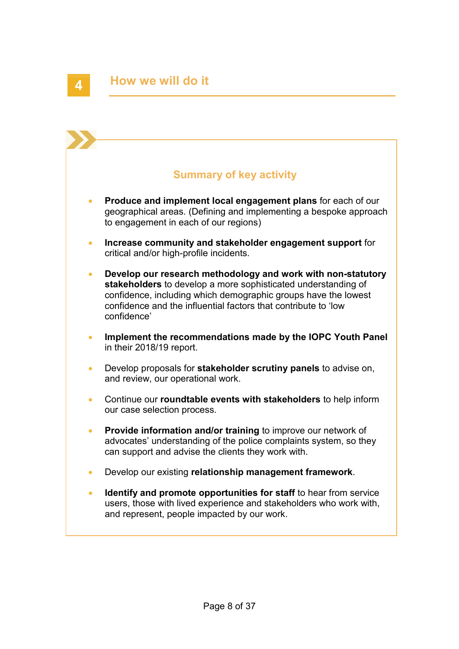# **Summary of key activity**

- **Produce and implement local engagement plans** for each of our geographical areas. (Defining and implementing a bespoke approach to engagement in each of our regions)
- **Increase community and stakeholder engagement support** for critical and/or high-profile incidents.
- **Develop our research methodology and work with non-statutory stakeholders** to develop a more sophisticated understanding of confidence, including which demographic groups have the lowest confidence and the influential factors that contribute to 'low confidence'
- **Implement the recommendations made by the IOPC Youth Panel** in their 2018/19 report.
- Develop proposals for **stakeholder scrutiny panels** to advise on, and review, our operational work.
- Continue our **roundtable events with stakeholders** to help inform our case selection process.
- **Provide information and/or training** to improve our network of advocates' understanding of the police complaints system, so they can support and advise the clients they work with.
- Develop our existing **relationship management framework**.
- **Identify and promote opportunities for staff** to hear from service users, those with lived experience and stakeholders who work with, and represent, people impacted by our work.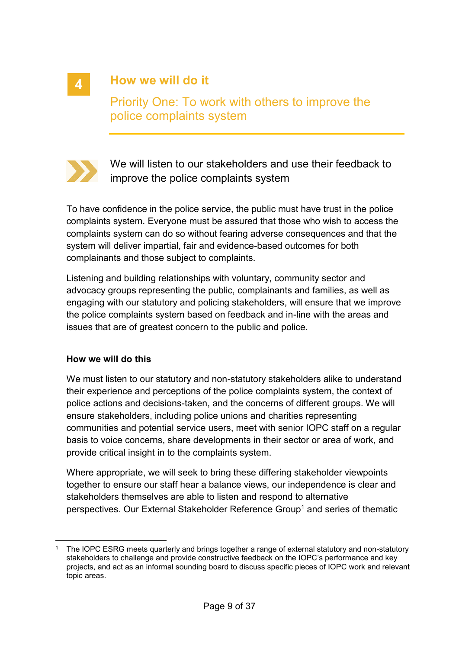# **4**

# **How we will do it**

Priority One: To work with others to improve the police complaints system



We will listen to our stakeholders and use their feedback to improve the police complaints system

To have confidence in the police service, the public must have trust in the police complaints system. Everyone must be assured that those who wish to access the complaints system can do so without fearing adverse consequences and that the system will deliver impartial, fair and evidence-based outcomes for both complainants and those subject to complaints.

Listening and building relationships with voluntary, community sector and advocacy groups representing the public, complainants and families, as well as engaging with our statutory and policing stakeholders, will ensure that we improve the police complaints system based on feedback and in-line with the areas and issues that are of greatest concern to the public and police.

#### **How we will do this**

We must listen to our statutory and non-statutory stakeholders alike to understand their experience and perceptions of the police complaints system, the context of police actions and decisions-taken, and the concerns of different groups. We will ensure stakeholders, including police unions and charities representing communities and potential service users, meet with senior IOPC staff on a regular basis to voice concerns, share developments in their sector or area of work, and provide critical insight in to the complaints system.

Where appropriate, we will seek to bring these differing stakeholder viewpoints together to ensure our staff hear a balance views, our independence is clear and stakeholders themselves are able to listen and respond to alternative perspectives. Our External Stakeholder Reference Group<sup>1</sup> and series of thematic

<sup>1</sup> <sup>1</sup> The IOPC ESRG meets quarterly and brings together a range of external statutory and non-statutory stakeholders to challenge and provide constructive feedback on the IOPC's performance and key projects, and act as an informal sounding board to discuss specific pieces of IOPC work and relevant topic areas.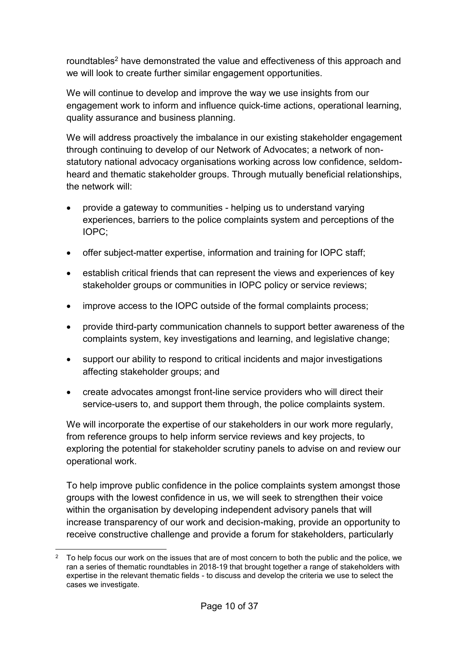roundtables<sup>2</sup> have demonstrated the value and effectiveness of this approach and we will look to create further similar engagement opportunities.

We will continue to develop and improve the way we use insights from our engagement work to inform and influence quick-time actions, operational learning, quality assurance and business planning.

We will address proactively the imbalance in our existing stakeholder engagement through continuing to develop of our Network of Advocates; a network of nonstatutory national advocacy organisations working across low confidence, seldomheard and thematic stakeholder groups. Through mutually beneficial relationships, the network will:

- provide a gateway to communities helping us to understand varying experiences, barriers to the police complaints system and perceptions of the IOPC;
- offer subject-matter expertise, information and training for IOPC staff;
- establish critical friends that can represent the views and experiences of key stakeholder groups or communities in IOPC policy or service reviews:
- improve access to the IOPC outside of the formal complaints process;
- provide third-party communication channels to support better awareness of the complaints system, key investigations and learning, and legislative change;
- support our ability to respond to critical incidents and major investigations affecting stakeholder groups; and
- create advocates amongst front-line service providers who will direct their service-users to, and support them through, the police complaints system.

We will incorporate the expertise of our stakeholders in our work more regularly, from reference groups to help inform service reviews and key projects, to exploring the potential for stakeholder scrutiny panels to advise on and review our operational work.

To help improve public confidence in the police complaints system amongst those groups with the lowest confidence in us, we will seek to strengthen their voice within the organisation by developing independent advisory panels that will increase transparency of our work and decision-making, provide an opportunity to receive constructive challenge and provide a forum for stakeholders, particularly

**<sup>.</sup>** <sup>2</sup> To help focus our work on the issues that are of most concern to both the public and the police, we ran a series of thematic roundtables in 2018-19 that brought together a range of stakeholders with expertise in the relevant thematic fields - to discuss and develop the criteria we use to select the cases we investigate.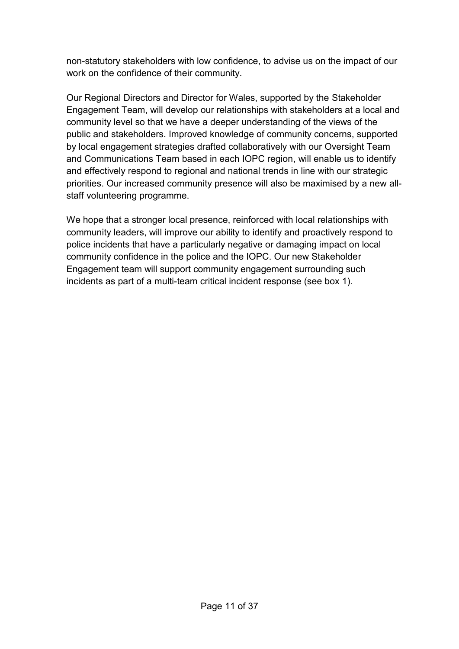non-statutory stakeholders with low confidence, to advise us on the impact of our work on the confidence of their community.

Our Regional Directors and Director for Wales, supported by the Stakeholder Engagement Team, will develop our relationships with stakeholders at a local and community level so that we have a deeper understanding of the views of the public and stakeholders. Improved knowledge of community concerns, supported by local engagement strategies drafted collaboratively with our Oversight Team and Communications Team based in each IOPC region, will enable us to identify and effectively respond to regional and national trends in line with our strategic priorities. Our increased community presence will also be maximised by a new allstaff volunteering programme.

We hope that a stronger local presence, reinforced with local relationships with community leaders, will improve our ability to identify and proactively respond to police incidents that have a particularly negative or damaging impact on local community confidence in the police and the IOPC. Our new Stakeholder Engagement team will support community engagement surrounding such incidents as part of a multi-team critical incident response (see box 1).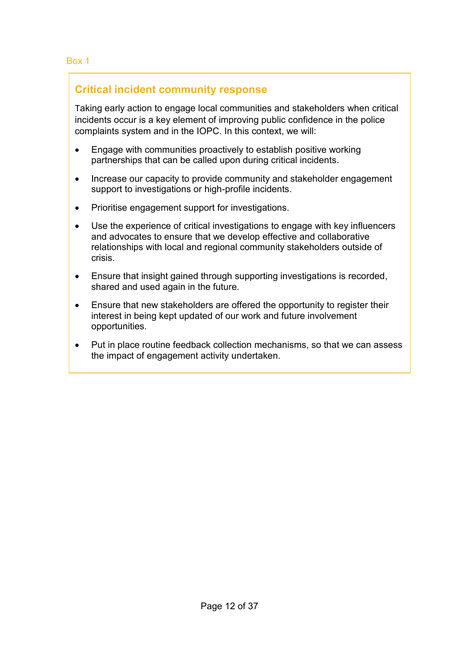# **Critical incident community response**

Taking early action to engage local communities and stakeholders when critical incidents occur is a key element of improving public confidence in the police complaints system and in the IOPC. In this context, we will:

- Engage with communities proactively to establish positive working partnerships that can be called upon during critical incidents.
- Increase our capacity to provide community and stakeholder engagement support to investigations or high-profile incidents.
- Prioritise engagement support for investigations.
- Use the experience of critical investigations to engage with key influencers and advocates to ensure that we develop effective and collaborative relationships with local and regional community stakeholders outside of crisis.
- Ensure that insight gained through supporting investigations is recorded. shared and used again in the future.
- Ensure that new stakeholders are offered the opportunity to register their interest in being kept updated of our work and future involvement opportunities.
- Put in place routine feedback collection mechanisms, so that we can assess the impact of engagement activity undertaken.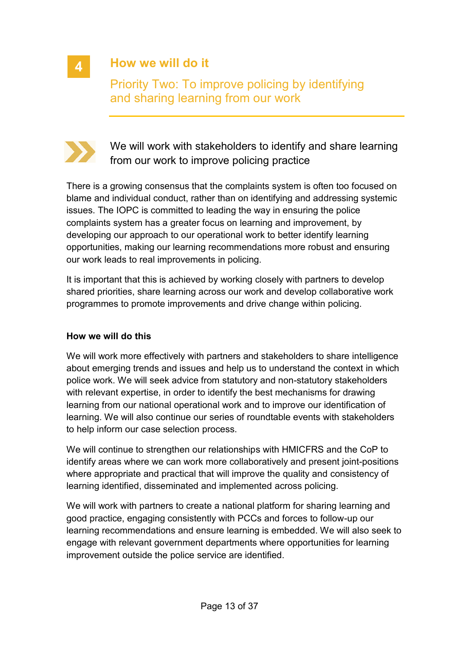

# **How we will do it**

Priority Two: To improve policing by identifying and sharing learning from our work



We will work with stakeholders to identify and share learning from our work to improve policing practice

There is a growing consensus that the complaints system is often too focused on blame and individual conduct, rather than on identifying and addressing systemic issues. The IOPC is committed to leading the way in ensuring the police complaints system has a greater focus on learning and improvement, by developing our approach to our operational work to better identify learning opportunities, making our learning recommendations more robust and ensuring our work leads to real improvements in policing.

It is important that this is achieved by working closely with partners to develop shared priorities, share learning across our work and develop collaborative work programmes to promote improvements and drive change within policing.

#### **How we will do this**

We will work more effectively with partners and stakeholders to share intelligence about emerging trends and issues and help us to understand the context in which police work. We will seek advice from statutory and non-statutory stakeholders with relevant expertise, in order to identify the best mechanisms for drawing learning from our national operational work and to improve our identification of learning. We will also continue our series of roundtable events with stakeholders to help inform our case selection process.

We will continue to strengthen our relationships with HMICFRS and the CoP to identify areas where we can work more collaboratively and present joint-positions where appropriate and practical that will improve the quality and consistency of learning identified, disseminated and implemented across policing.

We will work with partners to create a national platform for sharing learning and good practice, engaging consistently with PCCs and forces to follow-up our learning recommendations and ensure learning is embedded. We will also seek to engage with relevant government departments where opportunities for learning improvement outside the police service are identified.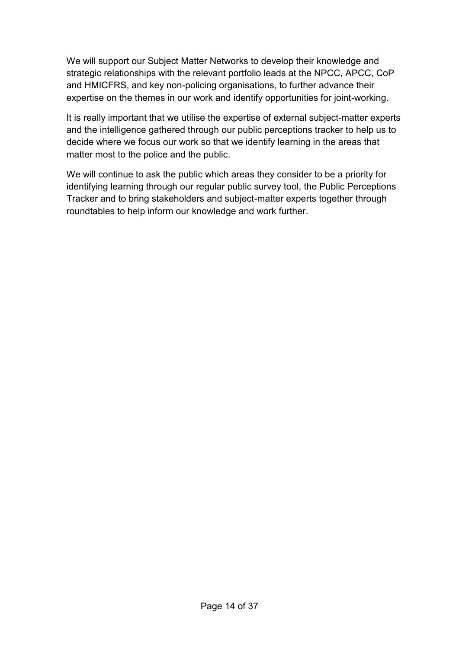We will support our Subject Matter Networks to develop their knowledge and strategic relationships with the relevant portfolio leads at the NPCC, APCC, CoP and HMICFRS, and key non-policing organisations, to further advance their expertise on the themes in our work and identify opportunities for joint-working.

It is really important that we utilise the expertise of external subject-matter experts and the intelligence gathered through our public perceptions tracker to help us to decide where we focus our work so that we identify learning in the areas that matter most to the police and the public.

We will continue to ask the public which areas they consider to be a priority for identifying learning through our regular public survey tool, the Public Perceptions Tracker and to bring stakeholders and subject-matter experts together through roundtables to help inform our knowledge and work further.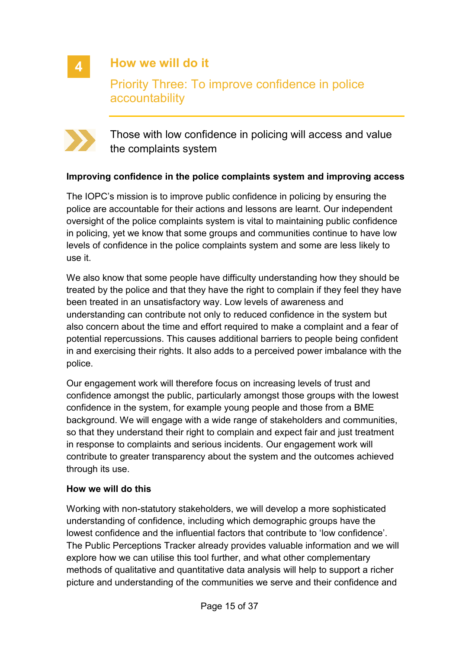**4**

# **How we will do it**

Priority Three: To improve confidence in police accountability



Those with low confidence in policing will access and value the complaints system

#### **Improving confidence in the police complaints system and improving access**

The IOPC's mission is to improve public confidence in policing by ensuring the police are accountable for their actions and lessons are learnt. Our independent oversight of the police complaints system is vital to maintaining public confidence in policing, yet we know that some groups and communities continue to have low levels of confidence in the police complaints system and some are less likely to use it.

We also know that some people have difficulty understanding how they should be treated by the police and that they have the right to complain if they feel they have been treated in an unsatisfactory way. Low levels of awareness and understanding can contribute not only to reduced confidence in the system but also concern about the time and effort required to make a complaint and a fear of potential repercussions. This causes additional barriers to people being confident in and exercising their rights. It also adds to a perceived power imbalance with the police.

Our engagement work will therefore focus on increasing levels of trust and confidence amongst the public, particularly amongst those groups with the lowest confidence in the system, for example young people and those from a BME background. We will engage with a wide range of stakeholders and communities, so that they understand their right to complain and expect fair and just treatment in response to complaints and serious incidents. Our engagement work will contribute to greater transparency about the system and the outcomes achieved through its use.

#### **How we will do this**

Working with non-statutory stakeholders, we will develop a more sophisticated understanding of confidence, including which demographic groups have the lowest confidence and the influential factors that contribute to 'low confidence'. The Public Perceptions Tracker already provides valuable information and we will explore how we can utilise this tool further, and what other complementary methods of qualitative and quantitative data analysis will help to support a richer picture and understanding of the communities we serve and their confidence and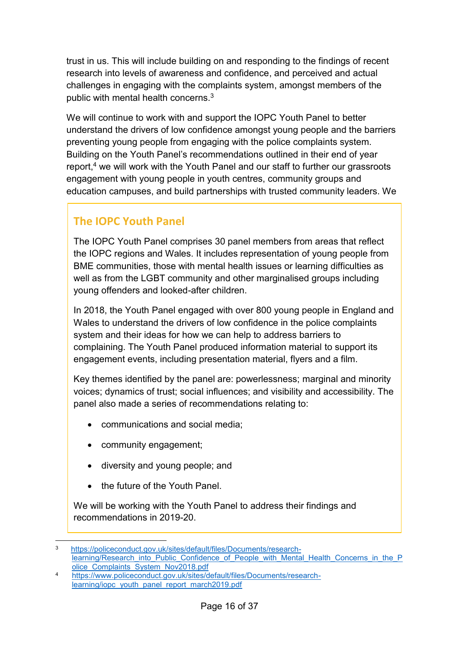trust in us. This will include building on and responding to the findings of recent research into levels of awareness and confidence, and perceived and actual challenges in engaging with the complaints system, amongst members of the public with mental health concerns.<sup>3</sup>

We will continue to work with and support the IOPC Youth Panel to better understand the drivers of low confidence amongst young people and the barriers preventing young people from engaging with the police complaints system. Building on the Youth Panel's recommendations outlined in their end of year report,<sup>4</sup> we will work with the Youth Panel and our staff to further our grassroots engagement with young people in youth centres, community groups and education campuses, and build partnerships with trusted community leaders. We

# **The IOPC Youth Panel**

The IOPC Youth Panel comprises 30 panel members from areas that reflect the IOPC regions and Wales. It includes representation of young people from BME communities, those with mental health issues or learning difficulties as well as from the LGBT community and other marginalised groups including young offenders and looked-after children.

In 2018, the Youth Panel engaged with over 800 young people in England and Wales to understand the drivers of low confidence in the police complaints system and their ideas for how we can help to address barriers to complaining. The Youth Panel produced information material to support its engagement events, including presentation material, flyers and a film.

Key themes identified by the panel are: powerlessness; marginal and minority voices; dynamics of trust; social influences; and visibility and accessibility. The panel also made a series of recommendations relating to:

- communications and social media;
- community engagement;

1

- diversity and young people; and
- the future of the Youth Panel.

We will be working with the Youth Panel to address their findings and recommendations in 2019-20.

<sup>3</sup> [https://policeconduct.gov.uk/sites/default/files/Documents/research](https://policeconduct.gov.uk/sites/default/files/Documents/research-learning/Research_into_Public_Confidence_of_People_with_Mental_Health_Concerns_in_the_Police_Complaints_System_Nov2018.pdf)[learning/Research\\_into\\_Public\\_Confidence\\_of\\_People\\_with\\_Mental\\_Health\\_Concerns\\_in\\_the\\_P](https://policeconduct.gov.uk/sites/default/files/Documents/research-learning/Research_into_Public_Confidence_of_People_with_Mental_Health_Concerns_in_the_Police_Complaints_System_Nov2018.pdf) [olice\\_Complaints\\_System\\_Nov2018.pdf](https://policeconduct.gov.uk/sites/default/files/Documents/research-learning/Research_into_Public_Confidence_of_People_with_Mental_Health_Concerns_in_the_Police_Complaints_System_Nov2018.pdf)

<sup>4</sup> [https://www.policeconduct.gov.uk/sites/default/files/Documents/research](https://www.policeconduct.gov.uk/sites/default/files/Documents/research-learning/iopc_youth_panel_report_march2019.pdf)[learning/iopc\\_youth\\_panel\\_report\\_march2019.pdf](https://www.policeconduct.gov.uk/sites/default/files/Documents/research-learning/iopc_youth_panel_report_march2019.pdf)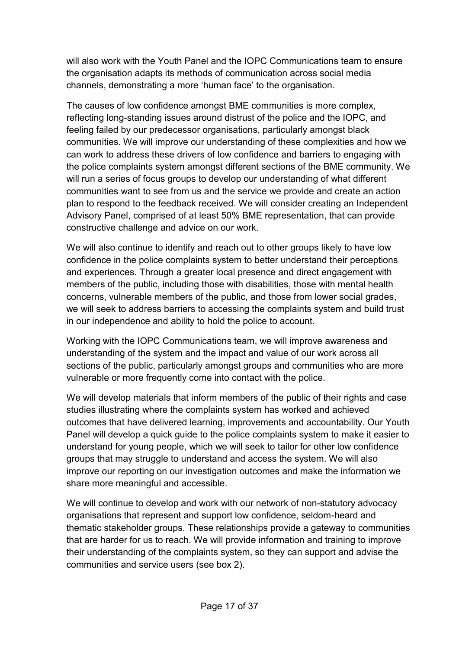will also work with the Youth Panel and the IOPC Communications team to ensure the organisation adapts its methods of communication across social media channels, demonstrating a more 'human face' to the organisation.

The causes of low confidence amongst BME communities is more complex, reflecting long-standing issues around distrust of the police and the IOPC, and feeling failed by our predecessor organisations, particularly amongst black communities. We will improve our understanding of these complexities and how we can work to address these drivers of low confidence and barriers to engaging with the police complaints system amongst different sections of the BME community. We will run a series of focus groups to develop our understanding of what different communities want to see from us and the service we provide and create an action plan to respond to the feedback received. We will consider creating an Independent Advisory Panel, comprised of at least 50% BME representation, that can provide constructive challenge and advice on our work.

We will also continue to identify and reach out to other groups likely to have low confidence in the police complaints system to better understand their perceptions and experiences. Through a greater local presence and direct engagement with members of the public, including those with disabilities, those with mental health concerns, vulnerable members of the public, and those from lower social grades, we will seek to address barriers to accessing the complaints system and build trust in our independence and ability to hold the police to account.

Working with the IOPC Communications team, we will improve awareness and understanding of the system and the impact and value of our work across all sections of the public, particularly amongst groups and communities who are more vulnerable or more frequently come into contact with the police.

We will develop materials that inform members of the public of their rights and case studies illustrating where the complaints system has worked and achieved outcomes that have delivered learning, improvements and accountability. Our Youth Panel will develop a quick guide to the police complaints system to make it easier to understand for young people, which we will seek to tailor for other low confidence groups that may struggle to understand and access the system. We will also improve our reporting on our investigation outcomes and make the information we share more meaningful and accessible.

We will continue to develop and work with our network of non-statutory advocacy organisations that represent and support low confidence, seldom-heard and thematic stakeholder groups. These relationships provide a gateway to communities that are harder for us to reach. We will provide information and training to improve their understanding of the complaints system, so they can support and advise the communities and service users (see box 2).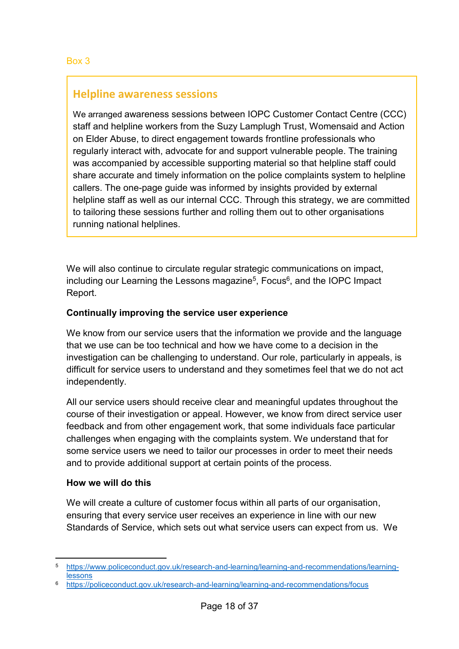# **Helpline awareness sessions**

We arranged awareness sessions between IOPC Customer Contact Centre (CCC) staff and helpline workers from the Suzy Lamplugh Trust, Womensaid and Action on Elder Abuse, to direct engagement towards frontline professionals who regularly interact with, advocate for and support vulnerable people. The training was accompanied by accessible supporting material so that helpline staff could share accurate and timely information on the police complaints system to helpline callers. The one-page guide was informed by insights provided by external helpline staff as well as our internal CCC. Through this strategy, we are committed to tailoring these sessions further and rolling them out to other organisations running national helplines.

We will also continue to circulate regular strategic communications on impact, including our Learning the Lessons magazine $^5$ , Focus $^6$ , and the IOPC Impact Report.

#### **Continually improving the service user experience**

We know from our service users that the information we provide and the language that we use can be too technical and how we have come to a decision in the investigation can be challenging to understand. Our role, particularly in appeals, is difficult for service users to understand and they sometimes feel that we do not act independently.

All our service users should receive clear and meaningful updates throughout the course of their investigation or appeal. However, we know from direct service user feedback and from other engagement work, that some individuals face particular challenges when engaging with the complaints system. We understand that for some service users we need to tailor our processes in order to meet their needs and to provide additional support at certain points of the process.

#### **How we will do this**

 $\overline{a}$ 

We will create a culture of customer focus within all parts of our organisation, ensuring that every service user receives an experience in line with our new Standards of Service, which sets out what service users can expect from us. We

<sup>5</sup> [https://www.policeconduct.gov.uk/research-and-learning/learning-and-recommendations/learning](https://www.policeconduct.gov.uk/research-and-learning/learning-and-recommendations/learning-lessons)[lessons](https://www.policeconduct.gov.uk/research-and-learning/learning-and-recommendations/learning-lessons)

<https://policeconduct.gov.uk/research-and-learning/learning-and-recommendations/focus>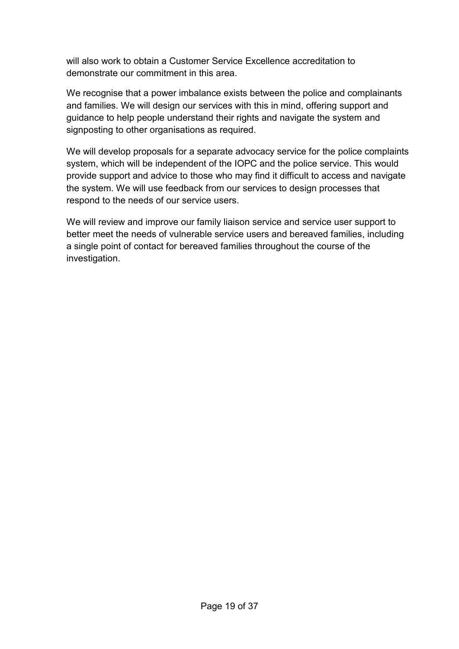will also work to obtain a Customer Service Excellence accreditation to demonstrate our commitment in this area.

We recognise that a power imbalance exists between the police and complainants and families. We will design our services with this in mind, offering support and guidance to help people understand their rights and navigate the system and signposting to other organisations as required.

We will develop proposals for a separate advocacy service for the police complaints system, which will be independent of the IOPC and the police service. This would provide support and advice to those who may find it difficult to access and navigate the system. We will use feedback from our services to design processes that respond to the needs of our service users.

We will review and improve our family liaison service and service user support to better meet the needs of vulnerable service users and bereaved families, including a single point of contact for bereaved families throughout the course of the investigation.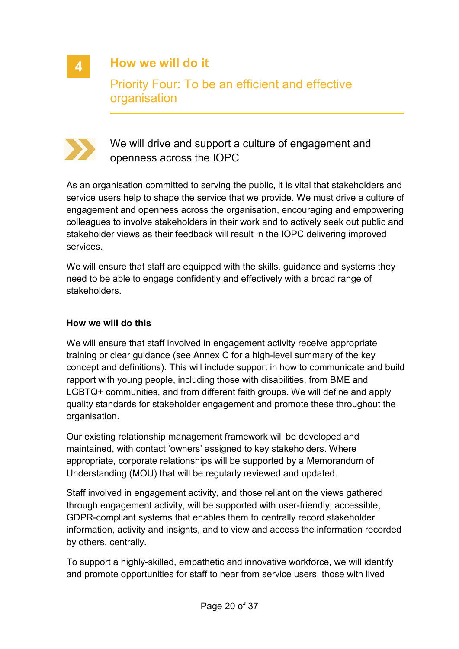

**How we will do it**

Priority Four: To be an efficient and effective organisation



We will drive and support a culture of engagement and openness across the IOPC

As an organisation committed to serving the public, it is vital that stakeholders and service users help to shape the service that we provide. We must drive a culture of engagement and openness across the organisation, encouraging and empowering colleagues to involve stakeholders in their work and to actively seek out public and stakeholder views as their feedback will result in the IOPC delivering improved services.

We will ensure that staff are equipped with the skills, guidance and systems they need to be able to engage confidently and effectively with a broad range of stakeholders.

#### **How we will do this**

We will ensure that staff involved in engagement activity receive appropriate training or clear guidance (see Annex C for a high-level summary of the key concept and definitions). This will include support in how to communicate and build rapport with young people, including those with disabilities, from BME and LGBTQ+ communities, and from different faith groups. We will define and apply quality standards for stakeholder engagement and promote these throughout the organisation.

Our existing relationship management framework will be developed and maintained, with contact 'owners' assigned to key stakeholders. Where appropriate, corporate relationships will be supported by a Memorandum of Understanding (MOU) that will be regularly reviewed and updated.

Staff involved in engagement activity, and those reliant on the views gathered through engagement activity, will be supported with user-friendly, accessible, GDPR-compliant systems that enables them to centrally record stakeholder information, activity and insights, and to view and access the information recorded by others, centrally.

To support a highly-skilled, empathetic and innovative workforce, we will identify and promote opportunities for staff to hear from service users, those with lived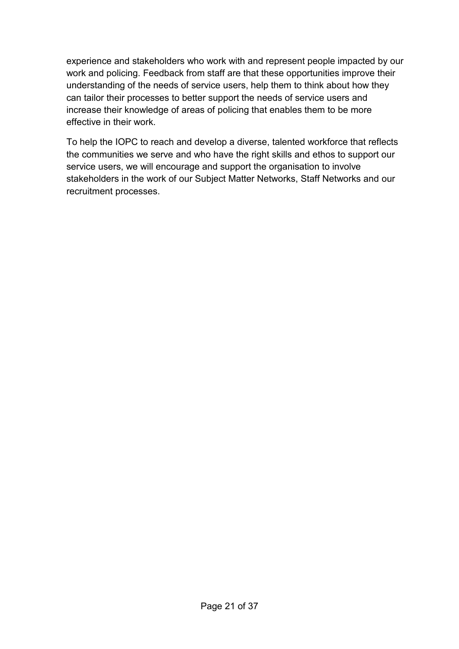experience and stakeholders who work with and represent people impacted by our work and policing. Feedback from staff are that these opportunities improve their understanding of the needs of service users, help them to think about how they can tailor their processes to better support the needs of service users and increase their knowledge of areas of policing that enables them to be more effective in their work.

To help the IOPC to reach and develop a diverse, talented workforce that reflects the communities we serve and who have the right skills and ethos to support our service users, we will encourage and support the organisation to involve stakeholders in the work of our Subject Matter Networks, Staff Networks and our recruitment processes.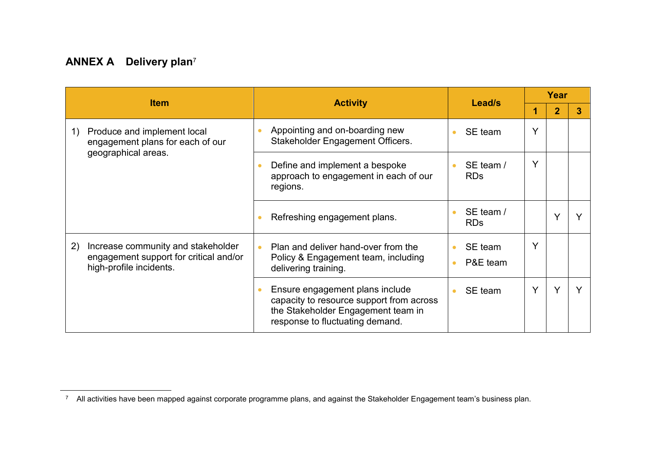# **ANNEX A Delivery plan**<sup>7</sup>

|                                                                                                               |                                                                                                                                                      |                                  |   | Year           |   |
|---------------------------------------------------------------------------------------------------------------|------------------------------------------------------------------------------------------------------------------------------------------------------|----------------------------------|---|----------------|---|
| <b>Item</b>                                                                                                   | <b>Activity</b>                                                                                                                                      | Lead/s                           |   | $\overline{2}$ | 3 |
| Produce and implement local<br>1)<br>engagement plans for each of our<br>geographical areas.                  | Appointing and on-boarding new<br>Stakeholder Engagement Officers.                                                                                   | SE team                          | V |                |   |
|                                                                                                               | Define and implement a bespoke<br>approach to engagement in each of our<br>regions.                                                                  | SE team /<br><b>RDs</b>          | Υ |                |   |
|                                                                                                               | Refreshing engagement plans.                                                                                                                         | SE team /<br><b>RDs</b>          |   | v              |   |
| Increase community and stakeholder<br>2)<br>engagement support for critical and/or<br>high-profile incidents. | Plan and deliver hand-over from the<br>$\bullet$<br>Policy & Engagement team, including<br>delivering training.                                      | SE team<br>P&E team<br>$\bullet$ |   |                |   |
|                                                                                                               | Ensure engagement plans include<br>capacity to resource support from across<br>the Stakeholder Engagement team in<br>response to fluctuating demand. | SE team                          |   | Y              |   |

 $\overline{a}$  $^\tau$  All activities have been mapped against corporate programme plans, and against the Stakeholder Engagement team's business plan.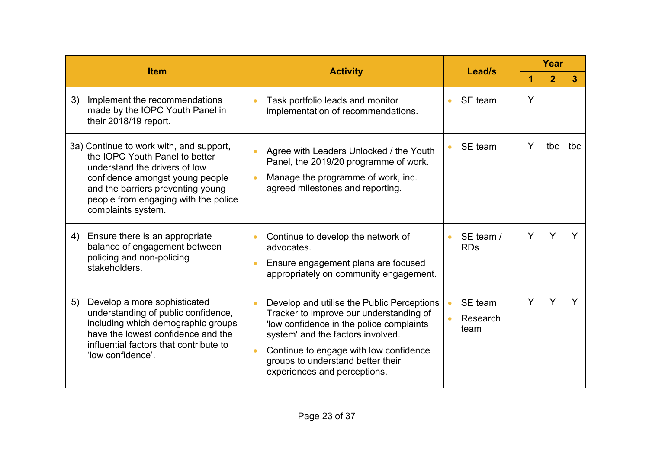| <b>Item</b> |                                                                                                                                                                                                                                                  |           |                                                                                                                                                                                                                                                                                       | Lead/s                      |   | Year           |     |  |
|-------------|--------------------------------------------------------------------------------------------------------------------------------------------------------------------------------------------------------------------------------------------------|-----------|---------------------------------------------------------------------------------------------------------------------------------------------------------------------------------------------------------------------------------------------------------------------------------------|-----------------------------|---|----------------|-----|--|
|             |                                                                                                                                                                                                                                                  |           | <b>Activity</b>                                                                                                                                                                                                                                                                       |                             | ٩ | $\overline{2}$ | 3   |  |
| 3)          | Implement the recommendations<br>made by the IOPC Youth Panel in<br>their 2018/19 report.                                                                                                                                                        |           | Task portfolio leads and monitor<br>implementation of recommendations.                                                                                                                                                                                                                | SE team                     | Y |                |     |  |
|             | 3a) Continue to work with, and support,<br>the IOPC Youth Panel to better<br>understand the drivers of low<br>confidence amongst young people<br>and the barriers preventing young<br>people from engaging with the police<br>complaints system. |           | Agree with Leaders Unlocked / the Youth<br>Panel, the 2019/20 programme of work.<br>Manage the programme of work, inc.<br>agreed milestones and reporting.                                                                                                                            | SE team                     | Y | tbc            | tbc |  |
| 4)          | Ensure there is an appropriate<br>balance of engagement between<br>policing and non-policing<br>stakeholders.                                                                                                                                    | $\bullet$ | Continue to develop the network of<br>advocates.<br>Ensure engagement plans are focused<br>appropriately on community engagement.                                                                                                                                                     | SE team /<br><b>RDs</b>     | Y | Y              | Y   |  |
| 5)          | Develop a more sophisticated<br>understanding of public confidence,<br>including which demographic groups<br>have the lowest confidence and the<br>influential factors that contribute to<br>'low confidence'.                                   |           | Develop and utilise the Public Perceptions<br>Tracker to improve our understanding of<br>'low confidence in the police complaints<br>system' and the factors involved.<br>Continue to engage with low confidence<br>groups to understand better their<br>experiences and perceptions. | SE team<br>Research<br>team | Y | Υ              | Y   |  |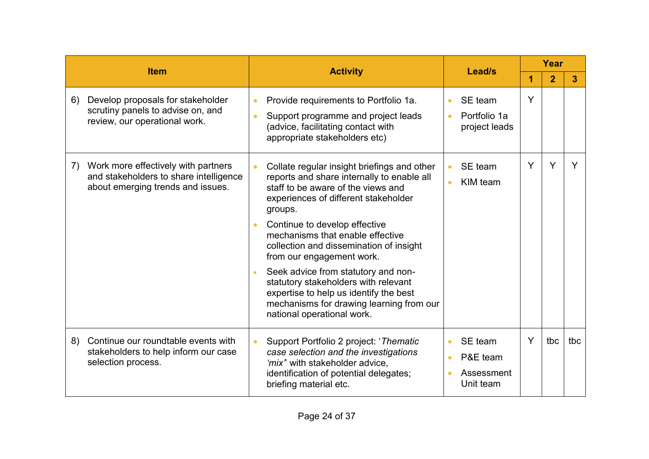|    |                                                                                                                    |           |                                                                                                                                                                                                                                                                                                                                                                                                                                                                                                                   |  |                                                |   | Year           |     |  |
|----|--------------------------------------------------------------------------------------------------------------------|-----------|-------------------------------------------------------------------------------------------------------------------------------------------------------------------------------------------------------------------------------------------------------------------------------------------------------------------------------------------------------------------------------------------------------------------------------------------------------------------------------------------------------------------|--|------------------------------------------------|---|----------------|-----|--|
|    | <b>Item</b>                                                                                                        |           | <b>Activity</b>                                                                                                                                                                                                                                                                                                                                                                                                                                                                                                   |  | Lead/s                                         |   | $\overline{2}$ | 3   |  |
| 6) | Develop proposals for stakeholder<br>scrutiny panels to advise on, and<br>review, our operational work.            | $\bullet$ | Provide requirements to Portfolio 1a.<br>Support programme and project leads<br>(advice, facilitating contact with<br>appropriate stakeholders etc)                                                                                                                                                                                                                                                                                                                                                               |  | SE team<br>Portfolio 1a<br>project leads       | Y |                |     |  |
| 7) | Work more effectively with partners<br>and stakeholders to share intelligence<br>about emerging trends and issues. |           | Collate regular insight briefings and other<br>$\bullet$<br>reports and share internally to enable all<br>staff to be aware of the views and<br>experiences of different stakeholder<br>groups.<br>Continue to develop effective<br>mechanisms that enable effective<br>collection and dissemination of insight<br>from our engagement work.<br>Seek advice from statutory and non-<br>statutory stakeholders with relevant<br>expertise to help us identify the best<br>mechanisms for drawing learning from our |  | SE team<br>KIM team                            | Y | Y              |     |  |
| 8) | Continue our roundtable events with<br>stakeholders to help inform our case<br>selection process.                  |           | national operational work.<br>Support Portfolio 2 project: 'Thematic<br>case selection and the investigations<br>'mix" with stakeholder advice,<br>identification of potential delegates;<br>briefing material etc.                                                                                                                                                                                                                                                                                               |  | SE team<br>P&E team<br>Assessment<br>Unit team | Y | tbc            | tbc |  |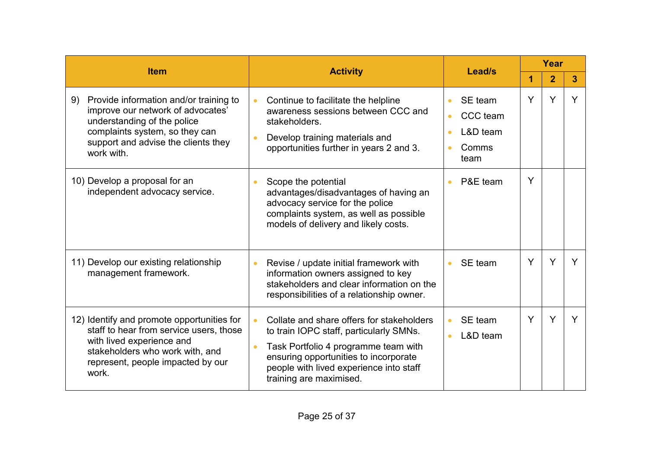|                                                                                                                                                                                                         |                                                                                                                                                                                                                                                          |                                                  |   | Year           |   |
|---------------------------------------------------------------------------------------------------------------------------------------------------------------------------------------------------------|----------------------------------------------------------------------------------------------------------------------------------------------------------------------------------------------------------------------------------------------------------|--------------------------------------------------|---|----------------|---|
| <b>Item</b>                                                                                                                                                                                             | <b>Activity</b>                                                                                                                                                                                                                                          | Lead/s                                           | 1 | $\overline{2}$ | 3 |
| Provide information and/or training to<br>9)<br>improve our network of advocates'<br>understanding of the police<br>complaints system, so they can<br>support and advise the clients they<br>work with. | Continue to facilitate the helpline<br>$\bullet$<br>awareness sessions between CCC and<br>stakeholders.<br>Develop training materials and<br>opportunities further in years 2 and 3.                                                                     | SE team<br>CCC team<br>L&D team<br>Comms<br>team | Y | Y              | Y |
| 10) Develop a proposal for an<br>independent advocacy service.                                                                                                                                          | Scope the potential<br>$\bullet$<br>advantages/disadvantages of having an<br>advocacy service for the police<br>complaints system, as well as possible<br>models of delivery and likely costs.                                                           | P&E team<br>$\bullet$                            | Y |                |   |
| 11) Develop our existing relationship<br>management framework.                                                                                                                                          | Revise / update initial framework with<br>$\bullet$<br>information owners assigned to key<br>stakeholders and clear information on the<br>responsibilities of a relationship owner.                                                                      | SE team<br>$\bullet$                             | Y | Υ              |   |
| 12) Identify and promote opportunities for<br>staff to hear from service users, those<br>with lived experience and<br>stakeholders who work with, and<br>represent, people impacted by our<br>work.     | Collate and share offers for stakeholders<br>$\bullet$<br>to train IOPC staff, particularly SMNs.<br>Task Portfolio 4 programme team with<br>ensuring opportunities to incorporate<br>people with lived experience into staff<br>training are maximised. | SE team<br>L&D team                              | Y | Y              |   |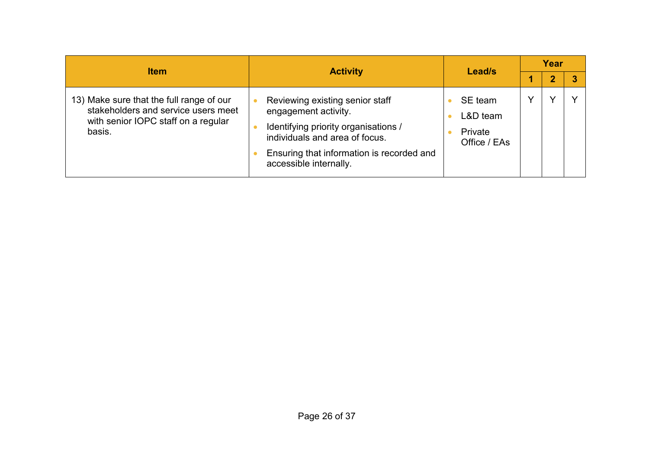| <b>Item</b>                                                                                                                      |                                                                                                                                                                                                          |                                                  | Year |  |
|----------------------------------------------------------------------------------------------------------------------------------|----------------------------------------------------------------------------------------------------------------------------------------------------------------------------------------------------------|--------------------------------------------------|------|--|
|                                                                                                                                  | <b>Activity</b>                                                                                                                                                                                          | Lead/s                                           | 2    |  |
| 13) Make sure that the full range of our<br>stakeholders and service users meet<br>with senior IOPC staff on a regular<br>basis. | Reviewing existing senior staff<br>engagement activity.<br>Identifying priority organisations /<br>individuals and area of focus.<br>Ensuring that information is recorded and<br>accessible internally. | SE team<br>$L&D$ team<br>Private<br>Office / EAs |      |  |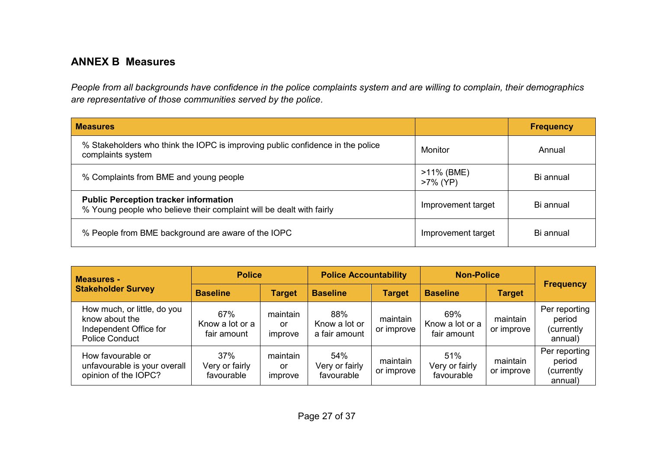# **ANNEX B Measures**

*People from all backgrounds have confidence in the police complaints system and are willing to complain, their demographics are representative of those communities served by the police.*

| <b>Measures</b>                                                                                                      |                           | <b>Frequency</b> |
|----------------------------------------------------------------------------------------------------------------------|---------------------------|------------------|
| % Stakeholders who think the IOPC is improving public confidence in the police<br>complaints system                  | Monitor                   | Annual           |
| % Complaints from BME and young people                                                                               | >11% (BME)<br>$>7\%$ (YP) | Bi annual        |
| <b>Public Perception tracker information</b><br>% Young people who believe their complaint will be dealt with fairly | Improvement target        | Bi annual        |
| % People from BME background are aware of the IOPC                                                                   | Improvement target        | Bi annual        |

| <b>Measures -</b>                                                                                | <b>Police</b>                         |                           | <b>Police Accountability</b>          |                        | <b>Non-Police</b>                     |                        |                                                  |
|--------------------------------------------------------------------------------------------------|---------------------------------------|---------------------------|---------------------------------------|------------------------|---------------------------------------|------------------------|--------------------------------------------------|
| <b>Stakeholder Survey</b>                                                                        | <b>Baseline</b>                       | <b>Target</b>             | <b>Baseline</b>                       | <b>Target</b>          | <b>Baseline</b>                       | <b>Target</b>          | <b>Frequency</b>                                 |
| How much, or little, do you<br>know about the<br>Independent Office for<br><b>Police Conduct</b> | 67%<br>Know a lot or a<br>fair amount | maintain<br>or<br>improve | 88%<br>Know a lot or<br>a fair amount | maintain<br>or improve | 69%<br>Know a lot or a<br>fair amount | maintain<br>or improve | Per reporting<br>period<br>(currently<br>annual) |
| How favourable or<br>unfavourable is your overall<br>opinion of the IOPC?                        | 37%<br>Very or fairly<br>favourable   | maintain<br>or<br>improve | 54%<br>Very or fairly<br>favourable   | maintain<br>or improve | 51%<br>Very or fairly<br>favourable   | maintain<br>or improve | Per reporting<br>period<br>(currently<br>annual) |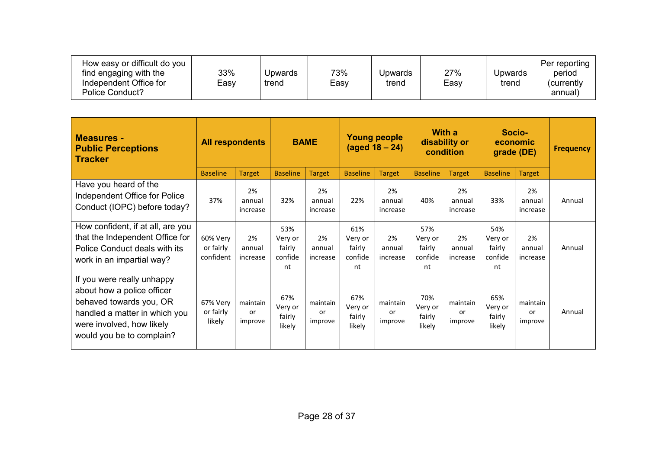| How easy or difficult do you<br>find engaging with the<br>Independent Office for<br>Police Conduct? | 33%<br>Easy | Upwards<br>trend | 73%<br>Easy | Jpwards<br>trend | 27%<br>Easy | Upwards<br>trend | Per reporting<br>period<br>(currently<br>annual) |
|-----------------------------------------------------------------------------------------------------|-------------|------------------|-------------|------------------|-------------|------------------|--------------------------------------------------|
|-----------------------------------------------------------------------------------------------------|-------------|------------------|-------------|------------------|-------------|------------------|--------------------------------------------------|

| <b>Measures -</b><br><b>Public Perceptions</b><br><b>Tracker</b>                                                                                                               | <b>All respondents</b>             |                           |                                           | <b>BAME</b>               |                                           | <b>Young people</b><br>(aged 18 – 24) |                                           | <b>With a</b><br>disability or<br>condition |                                           | Socio-<br>economic<br>grade (DE) | <b>Frequency</b> |
|--------------------------------------------------------------------------------------------------------------------------------------------------------------------------------|------------------------------------|---------------------------|-------------------------------------------|---------------------------|-------------------------------------------|---------------------------------------|-------------------------------------------|---------------------------------------------|-------------------------------------------|----------------------------------|------------------|
|                                                                                                                                                                                | <b>Baseline</b>                    | <b>Target</b>             | <b>Baseline</b>                           | <b>Target</b>             | <b>Baseline</b>                           | <b>Target</b>                         | <b>Baseline</b>                           | <b>Target</b>                               | <b>Baseline</b>                           | <b>Target</b>                    |                  |
| Have you heard of the<br>Independent Office for Police<br>Conduct (IOPC) before today?                                                                                         | 37%                                | 2%<br>annual<br>increase  | 32%                                       | 2%<br>annual<br>increase  | 22%                                       | 2%<br>annual<br>increase              | 40%                                       | 2%<br>annual<br>increase                    | 33%                                       | 2%<br>annual<br>increase         | Annual           |
| How confident, if at all, are you<br>that the Independent Office for<br>Police Conduct deals with its<br>work in an impartial way?                                             | 60% Very<br>or fairly<br>confident | 2%<br>annual<br>increase  | 53%<br>Very or<br>fairly<br>confide<br>nt | 2%<br>annual<br>increase  | 61%<br>Very or<br>fairly<br>confide<br>nt | 2%<br>annual<br>increase              | 57%<br>Very or<br>fairly<br>confide<br>nt | 2%<br>annual<br>increase                    | 54%<br>Very or<br>fairly<br>confide<br>nt | 2%<br>annual<br>increase         | Annual           |
| If you were really unhappy<br>about how a police officer<br>behaved towards you, OR<br>handled a matter in which you<br>were involved, how likely<br>would you be to complain? | 67% Very<br>or fairly<br>likely    | maintain<br>or<br>improve | 67%<br>Very or<br>fairly<br>likely        | maintain<br>or<br>improve | 67%<br>Very or<br>fairly<br>likely        | maintain<br>or<br>improve             | 70%<br>Very or<br>fairly<br>likely        | maintain<br>or<br>improve                   | 65%<br>Very or<br>fairly<br>likely        | maintain<br>or<br>improve        | Annual           |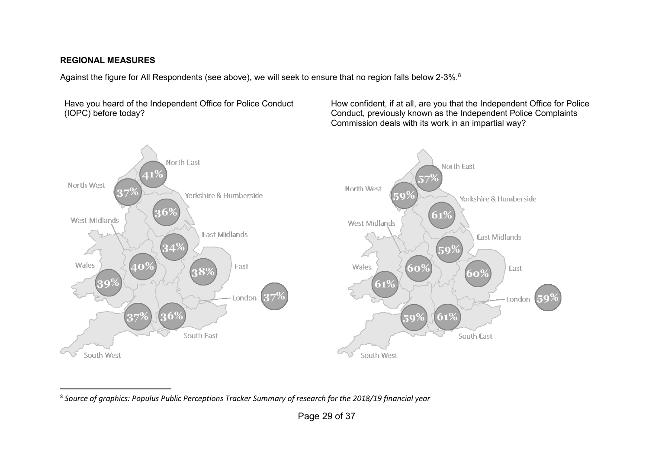#### **REGIONAL MEASURES**

Against the figure for All Respondents (see above), we will seek to ensure that no region falls below 2-3%.<sup>8</sup>

Have you heard of the Independent Office for Police Conduct (IOPC) before today?

How confident, if at all, are you that the Independent Office for Police Conduct, previously known as the Independent Police Complaints Commission deals with its work in an impartial way?



 $\overline{\phantom{a}}$ 8 *Source of graphics: Populus Public Perceptions Tracker Summary of research for the 2018/19 financial year*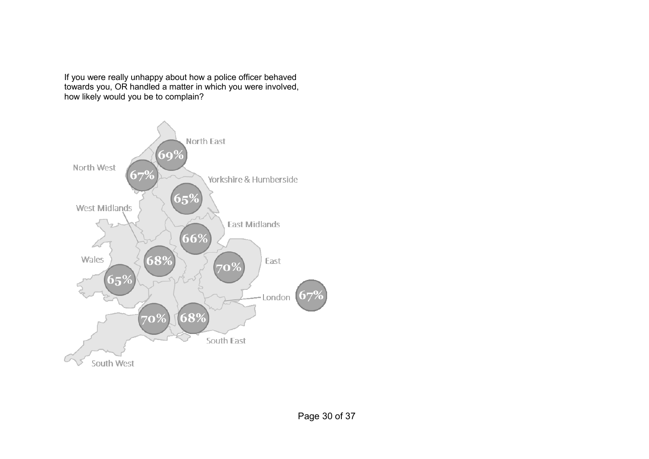If you were really unhappy about how a police officer behaved towards you, OR handled a matter in which you were involved, how likely would you be to complain?

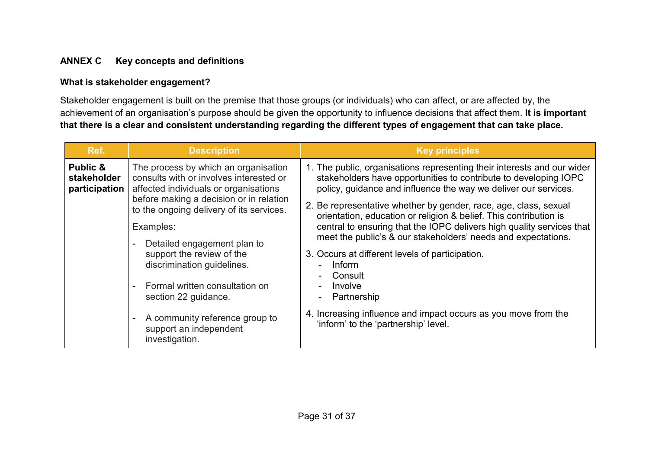# **ANNEX C Key concepts and definitions**

#### **What is stakeholder engagement?**

Stakeholder engagement is built on the premise that those groups (or individuals) who can affect, or are affected by, the achievement of an organisation's purpose should be given the opportunity to influence decisions that affect them. **It is important that there is a clear and consistent understanding regarding the different types of engagement that can take place.**

| Ref.                                     | <b>Description</b>                                                                                                                                                                                                                                                                                                                                                                                                                                             | <b>Key principles</b>                                                                                                                                                                                                                                                                                                                                                                                                                                                                                                                                                                                                                                                                                                |
|------------------------------------------|----------------------------------------------------------------------------------------------------------------------------------------------------------------------------------------------------------------------------------------------------------------------------------------------------------------------------------------------------------------------------------------------------------------------------------------------------------------|----------------------------------------------------------------------------------------------------------------------------------------------------------------------------------------------------------------------------------------------------------------------------------------------------------------------------------------------------------------------------------------------------------------------------------------------------------------------------------------------------------------------------------------------------------------------------------------------------------------------------------------------------------------------------------------------------------------------|
| Public &<br>stakeholder<br>participation | The process by which an organisation<br>consults with or involves interested or<br>affected individuals or organisations<br>before making a decision or in relation<br>to the ongoing delivery of its services.<br>Examples:<br>Detailed engagement plan to<br>support the review of the<br>discrimination guidelines.<br>Formal written consultation on<br>section 22 guidance.<br>A community reference group to<br>support an independent<br>investigation. | 1. The public, organisations representing their interests and our wider<br>stakeholders have opportunities to contribute to developing IOPC<br>policy, guidance and influence the way we deliver our services.<br>2. Be representative whether by gender, race, age, class, sexual<br>orientation, education or religion & belief. This contribution is<br>central to ensuring that the IOPC delivers high quality services that<br>meet the public's & our stakeholders' needs and expectations.<br>3. Occurs at different levels of participation.<br><b>Inform</b><br>Consult<br>Involve<br>Partnership<br>4. Increasing influence and impact occurs as you move from the<br>'inform' to the 'partnership' level. |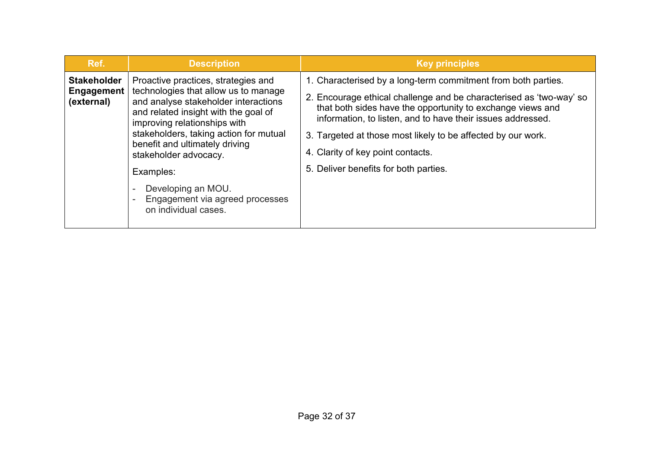| Ref.                                           | <b>Description</b>                                                                                                                                                                                                                                                                                                                                                                             | <b>Key principles</b>                                                                                                                                                                                                                                                                                                                                                                                           |  |
|------------------------------------------------|------------------------------------------------------------------------------------------------------------------------------------------------------------------------------------------------------------------------------------------------------------------------------------------------------------------------------------------------------------------------------------------------|-----------------------------------------------------------------------------------------------------------------------------------------------------------------------------------------------------------------------------------------------------------------------------------------------------------------------------------------------------------------------------------------------------------------|--|
| <b>Stakeholder</b><br>Engagement<br>(external) | Proactive practices, strategies and<br>technologies that allow us to manage<br>and analyse stakeholder interactions<br>and related insight with the goal of<br>improving relationships with<br>stakeholders, taking action for mutual<br>benefit and ultimately driving<br>stakeholder advocacy.<br>Examples:<br>Developing an MOU.<br>Engagement via agreed processes<br>on individual cases. | 1. Characterised by a long-term commitment from both parties.<br>2. Encourage ethical challenge and be characterised as 'two-way' so<br>that both sides have the opportunity to exchange views and<br>information, to listen, and to have their issues addressed.<br>3. Targeted at those most likely to be affected by our work.<br>4. Clarity of key point contacts.<br>5. Deliver benefits for both parties. |  |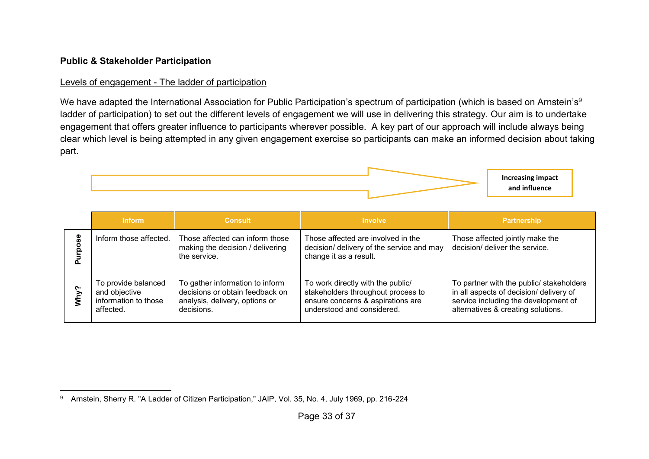# **Public & Stakeholder Participation**

#### Levels of engagement - The ladder of participation

We have adapted the International Association for Public Participation's spectrum of participation (which is based on Arnstein's<sup>9</sup> ladder of participation) to set out the different levels of engagement we will use in delivering this strategy. Our aim is to undertake engagement that offers greater influence to participants wherever possible. A key part of our approach will include always being clear which level is being attempted in any given engagement exercise so participants can make an informed decision about taking part.



|               | <b>Inform</b>                                                             | <b>Consult</b>                                                                                                     | <b>Involve</b>                                                                                                                             | <b>Partnership</b>                                                                                                                                                |
|---------------|---------------------------------------------------------------------------|--------------------------------------------------------------------------------------------------------------------|--------------------------------------------------------------------------------------------------------------------------------------------|-------------------------------------------------------------------------------------------------------------------------------------------------------------------|
| မ္တ<br>ŏ      | Inform those affected.                                                    | Those affected can inform those<br>making the decision / delivering<br>the service.                                | Those affected are involved in the<br>decision/ delivery of the service and may<br>change it as a result.                                  | Those affected jointly make the<br>decision/ deliver the service.                                                                                                 |
| ∾<br>уцу<br>М | To provide balanced<br>and objective<br>information to those<br>affected. | To gather information to inform<br>decisions or obtain feedback on<br>analysis, delivery, options or<br>decisions. | To work directly with the public/<br>stakeholders throughout process to<br>ensure concerns & aspirations are<br>understood and considered. | To partner with the public/ stakeholders<br>in all aspects of decision/ delivery of<br>service including the development of<br>alternatives & creating solutions. |

 $\overline{a}$  $^9$   $\,$  Arnstein, Sherry R. "A Ladder of Citizen Participation," JAIP, Vol. 35, No. 4, July 1969, pp. 216-224  $\,$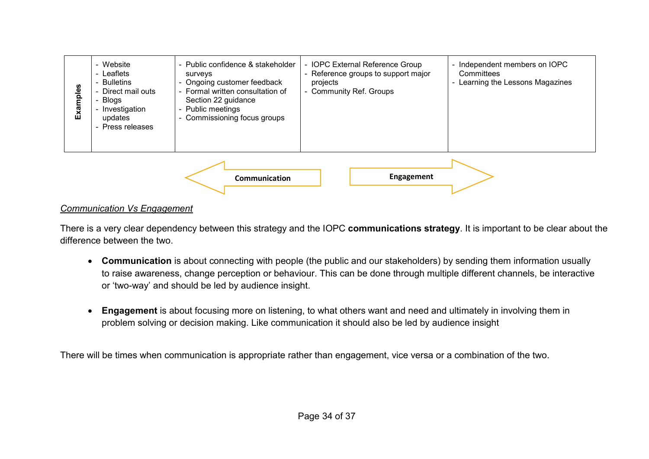

#### *Communication Vs Engagement*

There is a very clear dependency between this strategy and the IOPC **communications strategy**. It is important to be clear about the difference between the two.

- **Communication** is about connecting with people (the public and our stakeholders) by sending them information usually to raise awareness, change perception or behaviour. This can be done through multiple different channels, be interactive or 'two-way' and should be led by audience insight.
- **Engagement** is about focusing more on listening, to what others want and need and ultimately in involving them in problem solving or decision making. Like communication it should also be led by audience insight

There will be times when communication is appropriate rather than engagement, vice versa or a combination of the two.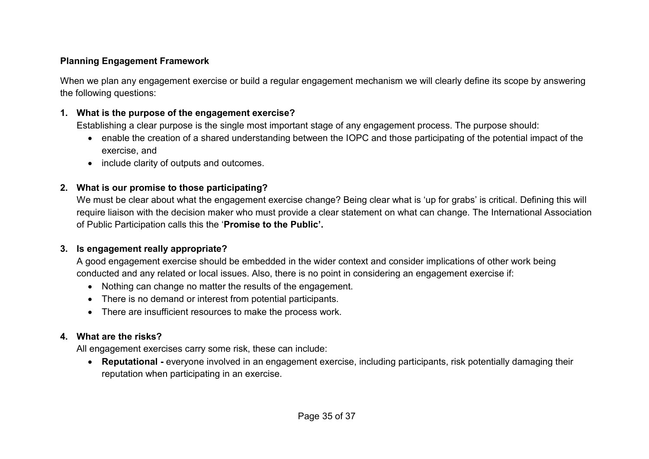# **Planning Engagement Framework**

When we plan any engagement exercise or build a regular engagement mechanism we will clearly define its scope by answering the following questions:

#### **1. What is the purpose of the engagement exercise?**

Establishing a clear purpose is the single most important stage of any engagement process. The purpose should:

- enable the creation of a shared understanding between the IOPC and those participating of the potential impact of the exercise, and
- include clarity of outputs and outcomes.

### **2. What is our promise to those participating?**

We must be clear about what the engagement exercise change? Being clear what is 'up for grabs' is critical. Defining this will require liaison with the decision maker who must provide a clear statement on what can change. The International Association of Public Participation calls this the '**Promise to the Public'.**

# **3. Is engagement really appropriate?**

A good engagement exercise should be embedded in the wider context and consider implications of other work being conducted and any related or local issues. Also, there is no point in considering an engagement exercise if:

- Nothing can change no matter the results of the engagement.
- There is no demand or interest from potential participants.
- There are insufficient resources to make the process work.

# **4. What are the risks?**

All engagement exercises carry some risk, these can include:

• **Reputational -** everyone involved in an engagement exercise, including participants, risk potentially damaging their reputation when participating in an exercise.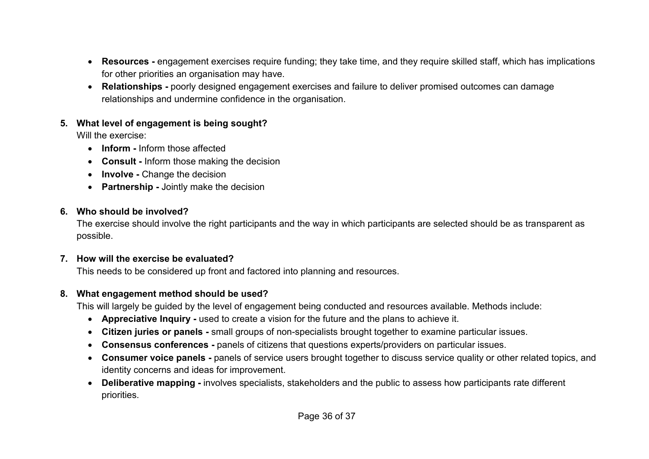- **Resources -** engagement exercises require funding; they take time, and they require skilled staff, which has implications for other priorities an organisation may have.
- **Relationships -** poorly designed engagement exercises and failure to deliver promised outcomes can damage relationships and undermine confidence in the organisation.

# **5. What level of engagement is being sought?**

Will the exercise:

- **Inform -** Inform those affected
- **Consult -** Inform those making the decision
- **Involve -** Change the decision
- **Partnership -** Jointly make the decision

# **6. Who should be involved?**

The exercise should involve the right participants and the way in which participants are selected should be as transparent as possible.

# **7. How will the exercise be evaluated?**

This needs to be considered up front and factored into planning and resources.

# **8. What engagement method should be used?**

This will largely be guided by the level of engagement being conducted and resources available. Methods include:

- **Appreciative Inquiry -** used to create a vision for the future and the plans to achieve it.
- **Citizen juries or panels -** small groups of non-specialists brought together to examine particular issues.
- **Consensus conferences -** panels of citizens that questions experts/providers on particular issues.
- **Consumer voice panels -** panels of service users brought together to discuss service quality or other related topics, and identity concerns and ideas for improvement.
- **Deliberative mapping -** involves specialists, stakeholders and the public to assess how participants rate different priorities.